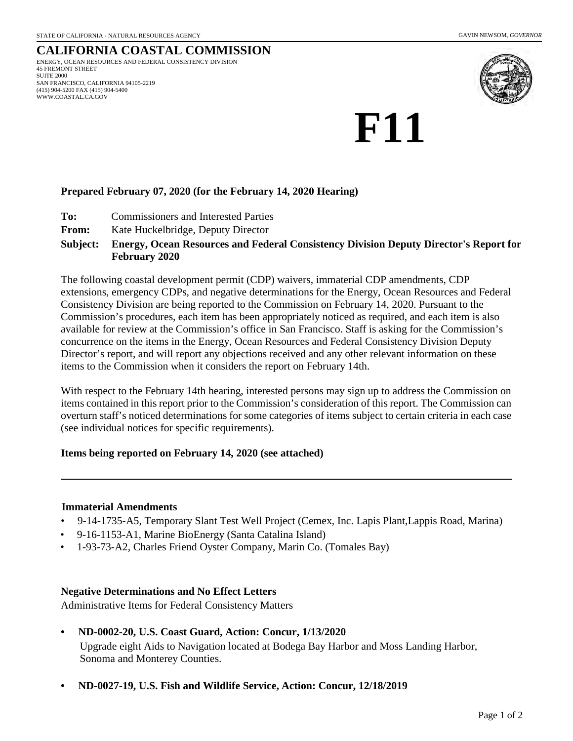#### **CALIFORNIA COASTAL COMMISSION** ENERGY, OCEAN RESOURCES AND FEDERAL CONSISTENCY DIVISION 45 FREMONT STREET SUITE 2000 SAN FRANCISCO, CALIFORNIA 94105-2219 (415) 904-5200 FAX (415) 904-5400 WWW.COASTAL.CA.GOV



# **F11**

#### **Prepared February 07, 2020 (for the February 14, 2020 Hearing)**

- **To:** Commissioners and Interested Parties
- **From:** Kate Huckelbridge, Deputy Director

#### **Energy, Ocean Resources and Federal Consistency Division Deputy Director's Report for February 2020 Subject:**

The following coastal development permit (CDP) waivers, immaterial CDP amendments, CDP extensions, emergency CDPs, and negative determinations for the Energy, Ocean Resources and Federal Consistency Division are being reported to the Commission on February 14, 2020. Pursuant to the Commission's procedures, each item has been appropriately noticed as required, and each item is also available for review at the Commission's office in San Francisco. Staff is asking for the Commission's concurrence on the items in the Energy, Ocean Resources and Federal Consistency Division Deputy Director's report, and will report any objections received and any other relevant information on these items to the Commission when it considers the report on February 14th.

With respect to the February 14th hearing, interested persons may sign up to address the Commission on items contained in this report prior to the Commission's consideration of this report. The Commission can overturn staff's noticed determinations for some categories of items subject to certain criteria in each case (see individual notices for specific requirements).

#### **Items being reported on February 14, 2020 (see attached)**

#### **Immaterial Amendments**

- 9-14-1735-A5, Temporary Slant Test Well Project (Cemex, Inc. Lapis Plant,Lappis Road, Marina)
- 9-16-1153-A1, Marine BioEnergy (Santa Catalina Island)
- 1-93-73-A2, Charles Friend Oyster Company, Marin Co. (Tomales Bay)

#### **Negative Determinations and No Effect Letters**

Administrative Items for Federal Consistency Matters

## **• ND-0002-20, U.S. Coast Guard, Action: Concur, 1/13/2020**

Upgrade eight Aids to Navigation located at Bodega Bay Harbor and Moss Landing Harbor, Sonoma and Monterey Counties.

**• ND-0027-19, U.S. Fish and Wildlife Service, Action: Concur, 12/18/2019**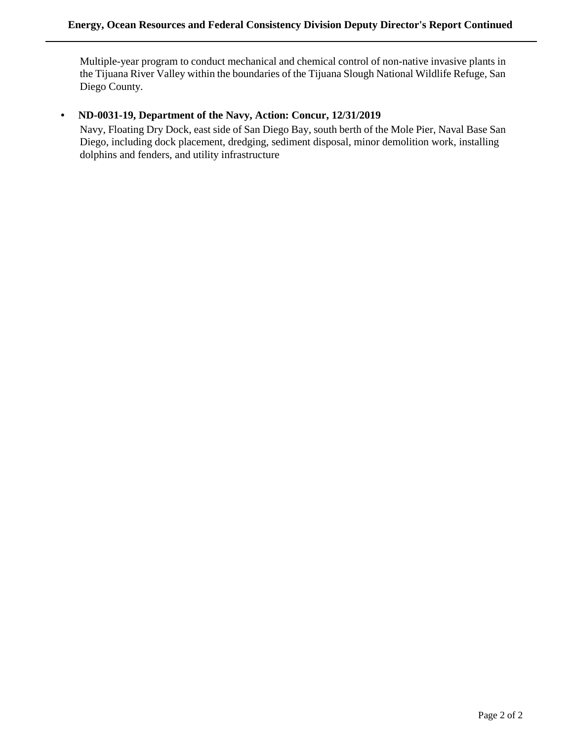Multiple-year program to conduct mechanical and chemical control of non-native invasive plants in the Tijuana River Valley within the boundaries of the Tijuana Slough National Wildlife Refuge, San Diego County.

#### **• ND-0031-19, Department of the Navy, Action: Concur, 12/31/2019**

Navy, Floating Dry Dock, east side of San Diego Bay, south berth of the Mole Pier, Naval Base San Diego, including dock placement, dredging, sediment disposal, minor demolition work, installing dolphins and fenders, and utility infrastructure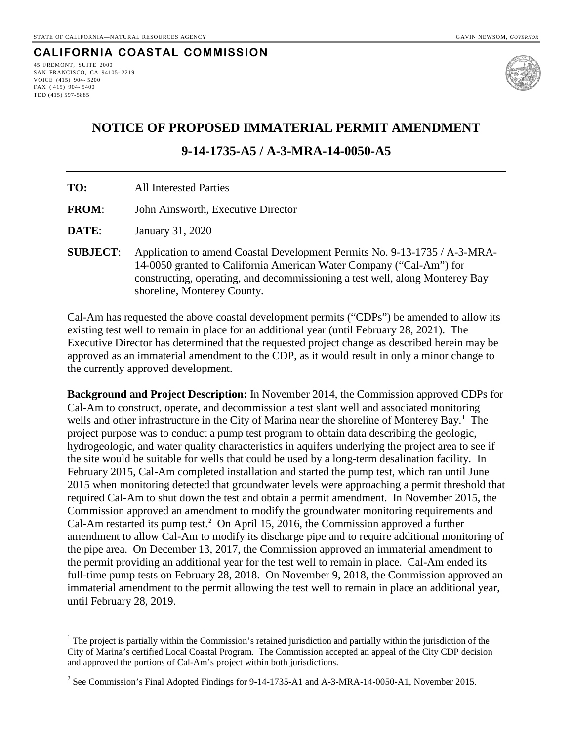#### **CALIFORNIA COASTAL COMMISSION** 45 FREMONT, SUITE 2000

SAN FRANCISCO, CA 94105- 2219 VOICE (415) 904- 5200 FAX ( 415) 904- 5400 TDD (415) 597-5885

 $\overline{a}$ 



### **NOTICE OF PROPOSED IMMATERIAL PERMIT AMENDMENT**

#### **9-14-1735-A5 / A-3-MRA-14-0050-A5**

| TO:             | <b>All Interested Parties</b>                                                                                                                                                                                                                                   |
|-----------------|-----------------------------------------------------------------------------------------------------------------------------------------------------------------------------------------------------------------------------------------------------------------|
| <b>FROM:</b>    | John Ainsworth, Executive Director                                                                                                                                                                                                                              |
| <b>DATE:</b>    | January 31, 2020                                                                                                                                                                                                                                                |
| <b>SUBJECT:</b> | Application to amend Coastal Development Permits No. 9-13-1735 / A-3-MRA-<br>14-0050 granted to California American Water Company ("Cal-Am") for<br>constructing, operating, and decommissioning a test well, along Monterey Bay<br>shoreline, Monterey County. |

Cal-Am has requested the above coastal development permits ("CDPs") be amended to allow its existing test well to remain in place for an additional year (until February 28, 2021). The Executive Director has determined that the requested project change as described herein may be approved as an immaterial amendment to the CDP, as it would result in only a minor change to the currently approved development.

**Background and Project Description:** In November 2014, the Commission approved CDPs for Cal-Am to construct, operate, and decommission a test slant well and associated monitoring wells and other infrastructure in the City of Marina near the shoreline of Monterey Bay.<sup>[1](#page-2-0)</sup> The project purpose was to conduct a pump test program to obtain data describing the geologic, hydrogeologic, and water quality characteristics in aquifers underlying the project area to see if the site would be suitable for wells that could be used by a long-term desalination facility. In February 2015, Cal-Am completed installation and started the pump test, which ran until June 2015 when monitoring detected that groundwater levels were approaching a permit threshold that required Cal-Am to shut down the test and obtain a permit amendment. In November 2015, the Commission approved an amendment to modify the groundwater monitoring requirements and Cal-Am restarted its pump test.<sup>[2](#page-2-1)</sup> On April 15, 2016, the Commission approved a further amendment to allow Cal-Am to modify its discharge pipe and to require additional monitoring of the pipe area. On December 13, 2017, the Commission approved an immaterial amendment to the permit providing an additional year for the test well to remain in place. Cal-Am ended its full-time pump tests on February 28, 2018. On November 9, 2018, the Commission approved an immaterial amendment to the permit allowing the test well to remain in place an additional year, until February 28, 2019.

<span id="page-2-0"></span> $1$  The project is partially within the Commission's retained jurisdiction and partially within the jurisdiction of the City of Marina's certified Local Coastal Program. The Commission accepted an appeal of the City CDP decision and approved the portions of Cal-Am's project within both jurisdictions.

<span id="page-2-1"></span><sup>2</sup> See Commission's Final Adopted Findings for 9-14-1735-A1 and A-3-MRA-14-0050-A1, November 2015.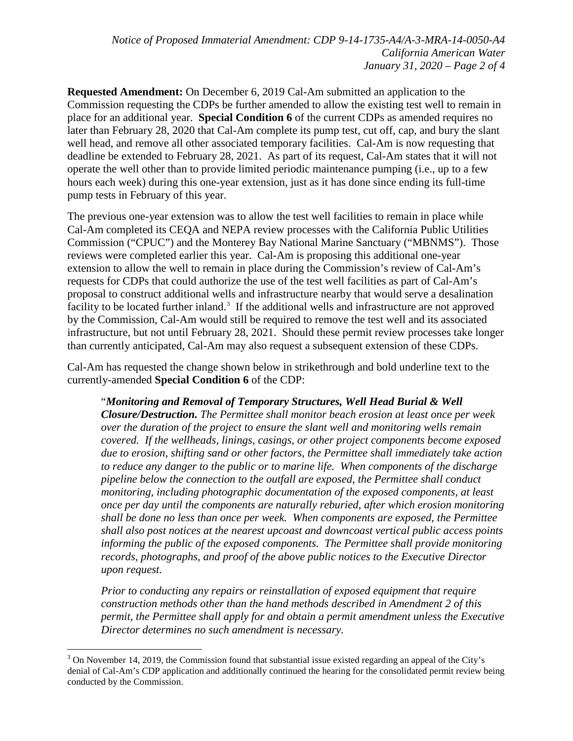**Requested Amendment:** On December 6, 2019 Cal-Am submitted an application to the Commission requesting the CDPs be further amended to allow the existing test well to remain in place for an additional year. **Special Condition 6** of the current CDPs as amended requires no later than February 28, 2020 that Cal-Am complete its pump test, cut off, cap, and bury the slant well head, and remove all other associated temporary facilities. Cal-Am is now requesting that deadline be extended to February 28, 2021. As part of its request, Cal-Am states that it will not operate the well other than to provide limited periodic maintenance pumping (i.e., up to a few hours each week) during this one-year extension, just as it has done since ending its full-time pump tests in February of this year.

The previous one-year extension was to allow the test well facilities to remain in place while Cal-Am completed its CEQA and NEPA review processes with the California Public Utilities Commission ("CPUC") and the Monterey Bay National Marine Sanctuary ("MBNMS"). Those reviews were completed earlier this year. Cal-Am is proposing this additional one-year extension to allow the well to remain in place during the Commission's review of Cal-Am's requests for CDPs that could authorize the use of the test well facilities as part of Cal-Am's proposal to construct additional wells and infrastructure nearby that would serve a desalination facility to be located further inland.<sup>[3](#page-3-0)</sup> If the additional wells and infrastructure are not approved by the Commission, Cal-Am would still be required to remove the test well and its associated infrastructure, but not until February 28, 2021. Should these permit review processes take longer than currently anticipated, Cal-Am may also request a subsequent extension of these CDPs.

Cal-Am has requested the change shown below in strikethrough and bold underline text to the currently-amended **Special Condition 6** of the CDP:

"*Monitoring and Removal of Temporary Structures, Well Head Burial & Well Closure/Destruction. The Permittee shall monitor beach erosion at least once per week over the duration of the project to ensure the slant well and monitoring wells remain covered. If the wellheads, linings, casings, or other project components become exposed due to erosion, shifting sand or other factors, the Permittee shall immediately take action to reduce any danger to the public or to marine life. When components of the discharge pipeline below the connection to the outfall are exposed, the Permittee shall conduct monitoring, including photographic documentation of the exposed components, at least once per day until the components are naturally reburied, after which erosion monitoring shall be done no less than once per week. When components are exposed, the Permittee shall also post notices at the nearest upcoast and downcoast vertical public access points informing the public of the exposed components. The Permittee shall provide monitoring records, photographs, and proof of the above public notices to the Executive Director upon request.* 

*Prior to conducting any repairs or reinstallation of exposed equipment that require construction methods other than the hand methods described in Amendment 2 of this permit, the Permittee shall apply for and obtain a permit amendment unless the Executive Director determines no such amendment is necessary.* 

<span id="page-3-0"></span> $\overline{a}$  $3$  On November 14, 2019, the Commission found that substantial issue existed regarding an appeal of the City's denial of Cal-Am's CDP application and additionally continued the hearing for the consolidated permit review being conducted by the Commission.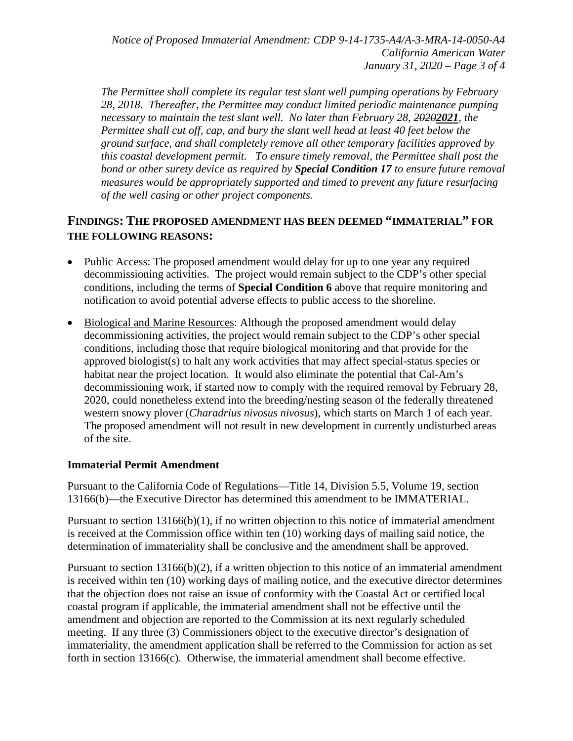*Notice of Proposed Immaterial Amendment: CDP 9-14-1735-A4/A-3-MRA-14-0050-A4 California American Water January 31, 2020 – Page 3 of 4* 

*The Permittee shall complete its regular test slant well pumping operations by February 28, 2018. Thereafter, the Permittee may conduct limited periodic maintenance pumping necessary to maintain the test slant well. No later than February 28, 20202021, the Permittee shall cut off, cap, and bury the slant well head at least 40 feet below the ground surface, and shall completely remove all other temporary facilities approved by this coastal development permit. To ensure timely removal, the Permittee shall post the bond or other surety device as required by Special Condition 17 to ensure future removal measures would be appropriately supported and timed to prevent any future resurfacing of the well casing or other project components.*

#### **FINDINGS: THE PROPOSED AMENDMENT HAS BEEN DEEMED "IMMATERIAL" FOR THE FOLLOWING REASONS:**

- Public Access: The proposed amendment would delay for up to one year any required decommissioning activities. The project would remain subject to the CDP's other special conditions, including the terms of **Special Condition 6** above that require monitoring and notification to avoid potential adverse effects to public access to the shoreline.
- Biological and Marine Resources: Although the proposed amendment would delay decommissioning activities, the project would remain subject to the CDP's other special conditions, including those that require biological monitoring and that provide for the approved biologist(s) to halt any work activities that may affect special-status species or habitat near the project location. It would also eliminate the potential that Cal-Am's decommissioning work, if started now to comply with the required removal by February 28, 2020, could nonetheless extend into the breeding/nesting season of the federally threatened western snowy plover (*Charadrius nivosus nivosus*), which starts on March 1 of each year. The proposed amendment will not result in new development in currently undisturbed areas of the site.

#### **Immaterial Permit Amendment**

Pursuant to the California Code of Regulations—Title 14, Division 5.5, Volume 19, section 13166(b)—the Executive Director has determined this amendment to be IMMATERIAL.

Pursuant to section 13166(b)(1), if no written objection to this notice of immaterial amendment is received at the Commission office within ten (10) working days of mailing said notice, the determination of immateriality shall be conclusive and the amendment shall be approved.

Pursuant to section 13166(b)(2), if a written objection to this notice of an immaterial amendment is received within ten (10) working days of mailing notice, and the executive director determines that the objection does not raise an issue of conformity with the Coastal Act or certified local coastal program if applicable, the immaterial amendment shall not be effective until the amendment and objection are reported to the Commission at its next regularly scheduled meeting. If any three (3) Commissioners object to the executive director's designation of immateriality, the amendment application shall be referred to the Commission for action as set forth in section 13166(c). Otherwise, the immaterial amendment shall become effective.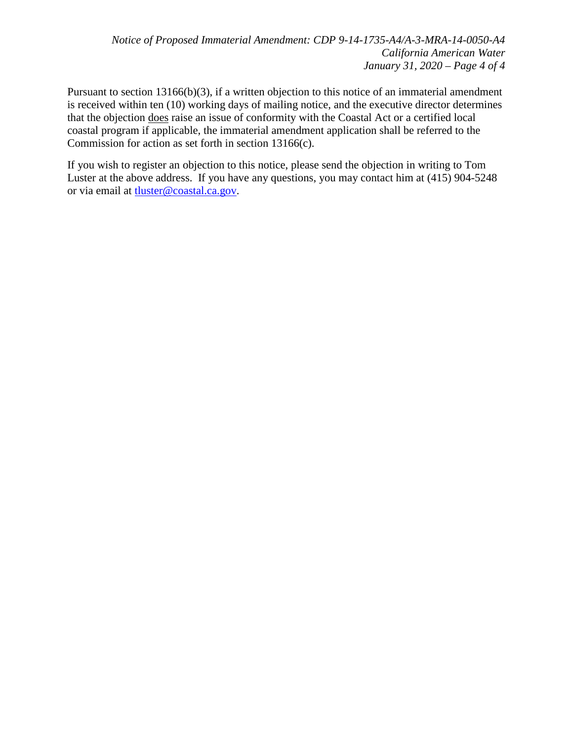Pursuant to section 13166(b)(3), if a written objection to this notice of an immaterial amendment is received within ten (10) working days of mailing notice, and the executive director determines that the objection does raise an issue of conformity with the Coastal Act or a certified local coastal program if applicable, the immaterial amendment application shall be referred to the Commission for action as set forth in section 13166(c).

If you wish to register an objection to this notice, please send the objection in writing to Tom Luster at the above address. If you have any questions, you may contact him at (415) 904-5248 or via email at [tluster@coastal.ca.gov.](mailto:tluster@coastal.ca.gov)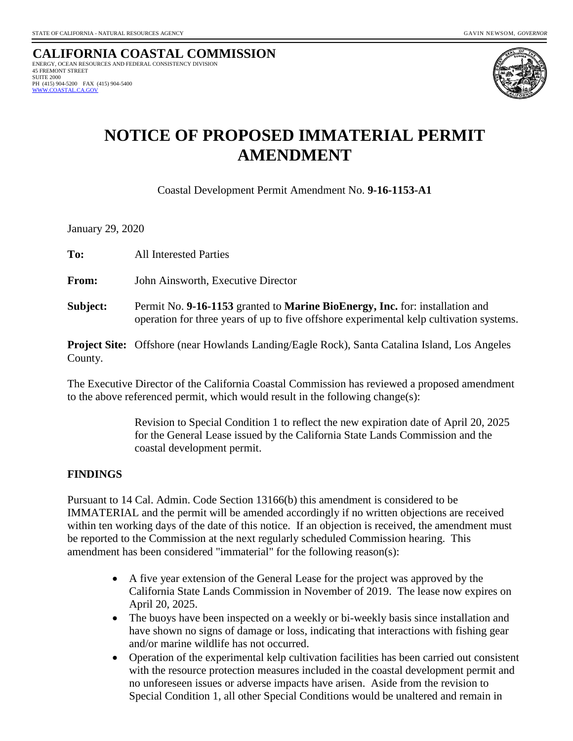**CALIFORNIA COASTAL COMMISSION** ENERGY, OCEAN RESOURCES AND FEDERAL CONSISTENCY DIVISION 45 FREMONT STREET SUITE 2000 PH (415) 904-5200 FAX (415) 904-5400  [WWW.COASTAL.CA.GOV](http://www.coastal.ca.gov/)



## **NOTICE OF PROPOSED IMMATERIAL PERMIT AMENDMENT**

Coastal Development Permit Amendment No. **9-16-1153-A1**

January 29, 2020

**To:**All Interested Parties **From:** John Ainsworth, Executive Director **Subject:** Permit No. **9-16-1153** granted to **Marine BioEnergy, Inc.** for: installation and operation for three years of up to five offshore experimental kelp cultivation systems.

**Project Site:** Offshore (near Howlands Landing/Eagle Rock), Santa Catalina Island, Los Angeles County.

The Executive Director of the California Coastal Commission has reviewed a proposed amendment to the above referenced permit, which would result in the following change(s):

> Revision to Special Condition 1 to reflect the new expiration date of April 20, 2025 for the General Lease issued by the California State Lands Commission and the coastal development permit.

#### **FINDINGS**

Pursuant to 14 Cal. Admin. Code Section 13166(b) this amendment is considered to be IMMATERIAL and the permit will be amended accordingly if no written objections are received within ten working days of the date of this notice. If an objection is received, the amendment must be reported to the Commission at the next regularly scheduled Commission hearing. This amendment has been considered "immaterial" for the following reason(s):

- A five year extension of the General Lease for the project was approved by the California State Lands Commission in November of 2019. The lease now expires on April 20, 2025.
- The buoys have been inspected on a weekly or bi-weekly basis since installation and have shown no signs of damage or loss, indicating that interactions with fishing gear and/or marine wildlife has not occurred.
- Operation of the experimental kelp cultivation facilities has been carried out consistent with the resource protection measures included in the coastal development permit and no unforeseen issues or adverse impacts have arisen. Aside from the revision to Special Condition 1, all other Special Conditions would be unaltered and remain in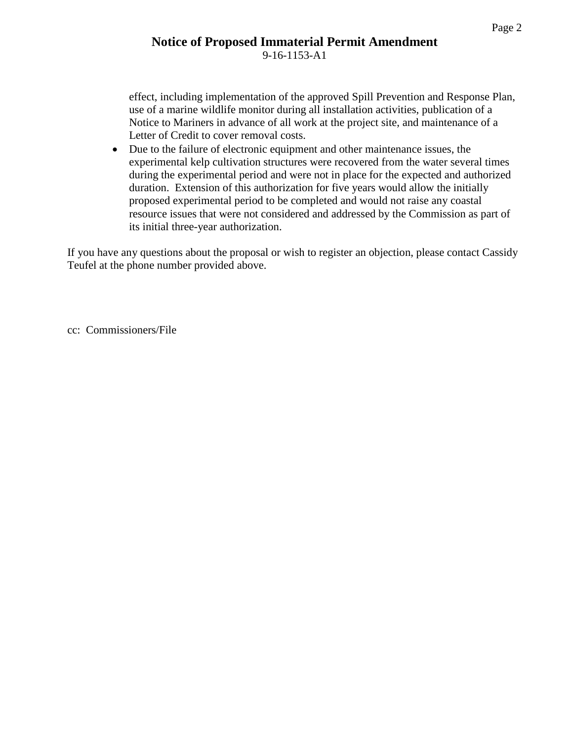effect, including implementation of the approved Spill Prevention and Response Plan, use of a marine wildlife monitor during all installation activities, publication of a Notice to Mariners in advance of all work at the project site, and maintenance of a Letter of Credit to cover removal costs.

• Due to the failure of electronic equipment and other maintenance issues, the experimental kelp cultivation structures were recovered from the water several times during the experimental period and were not in place for the expected and authorized duration. Extension of this authorization for five years would allow the initially proposed experimental period to be completed and would not raise any coastal resource issues that were not considered and addressed by the Commission as part of its initial three-year authorization.

If you have any questions about the proposal or wish to register an objection, please contact Cassidy Teufel at the phone number provided above.

cc: Commissioners/File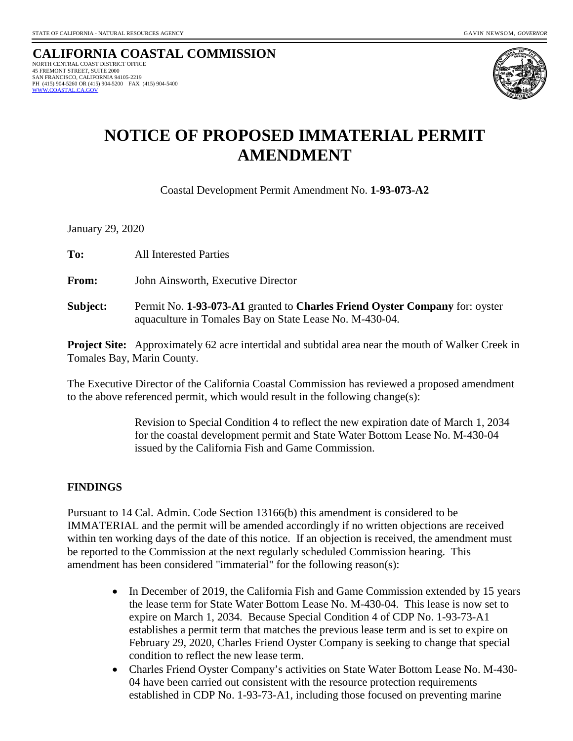

# **NOTICE OF PROPOSED IMMATERIAL PERMIT AMENDMENT**

Coastal Development Permit Amendment No. **1-93-073-A2**

January 29, 2020

**To:**All Interested Parties

**From:** John Ainsworth, Executive Director

**Subject:** Permit No. **1-93-073-A1** granted to **Charles Friend Oyster Company** for: oyster aquaculture in Tomales Bay on State Lease No. M-430-04.

**Project Site:** Approximately 62 acre intertidal and subtidal area near the mouth of Walker Creek in Tomales Bay, Marin County.

The Executive Director of the California Coastal Commission has reviewed a proposed amendment to the above referenced permit, which would result in the following change(s):

> Revision to Special Condition 4 to reflect the new expiration date of March 1, 2034 for the coastal development permit and State Water Bottom Lease No. M-430-04 issued by the California Fish and Game Commission.

#### **FINDINGS**

Pursuant to 14 Cal. Admin. Code Section 13166(b) this amendment is considered to be IMMATERIAL and the permit will be amended accordingly if no written objections are received within ten working days of the date of this notice. If an objection is received, the amendment must be reported to the Commission at the next regularly scheduled Commission hearing. This amendment has been considered "immaterial" for the following reason(s):

- In December of 2019, the California Fish and Game Commission extended by 15 years the lease term for State Water Bottom Lease No. M-430-04. This lease is now set to expire on March 1, 2034. Because Special Condition 4 of CDP No. 1-93-73-A1 establishes a permit term that matches the previous lease term and is set to expire on February 29, 2020, Charles Friend Oyster Company is seeking to change that special condition to reflect the new lease term.
- Charles Friend Oyster Company's activities on State Water Bottom Lease No. M-430- 04 have been carried out consistent with the resource protection requirements established in CDP No. 1-93-73-A1, including those focused on preventing marine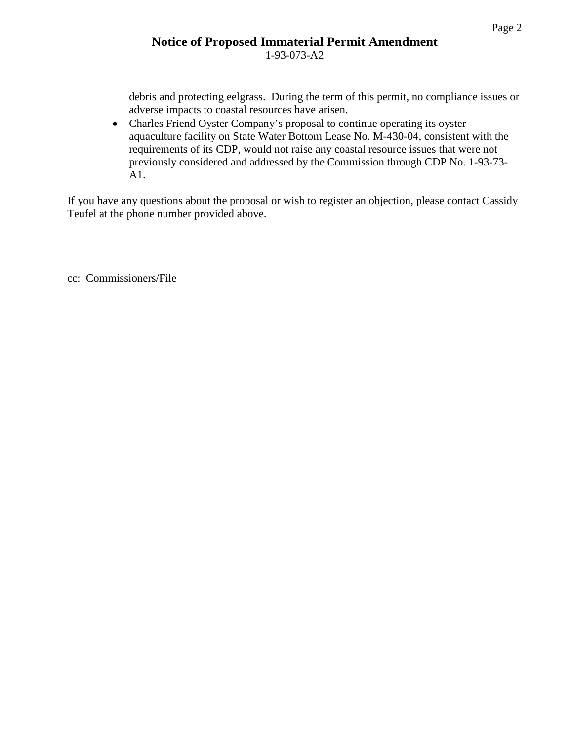#### **Notice of Proposed Immaterial Permit Amendment** 1-93-073-A2

debris and protecting eelgrass. During the term of this permit, no compliance issues or adverse impacts to coastal resources have arisen.

• Charles Friend Oyster Company's proposal to continue operating its oyster aquaculture facility on State Water Bottom Lease No. M-430-04, consistent with the requirements of its CDP, would not raise any coastal resource issues that were not previously considered and addressed by the Commission through CDP No. 1-93-73- A1.

If you have any questions about the proposal or wish to register an objection, please contact Cassidy Teufel at the phone number provided above.

cc: Commissioners/File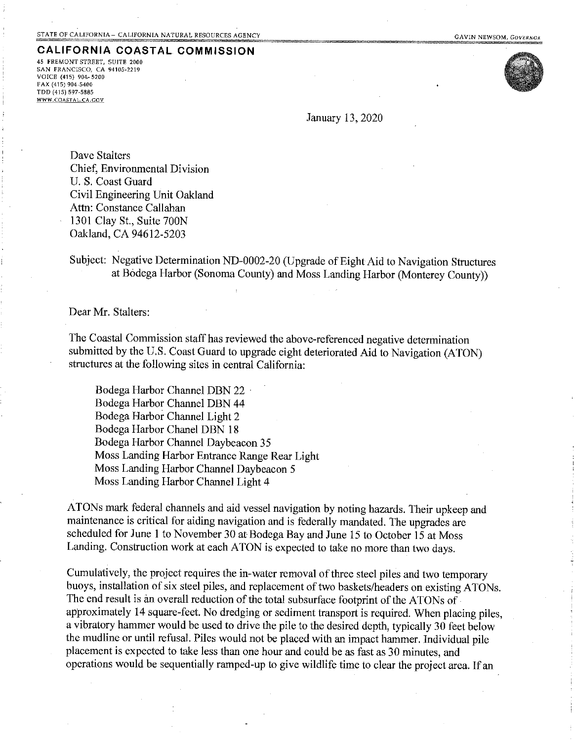#### **CALIFORNIA COASTAL COMMISSION**

45 FREMONT STREET, SUITE 2000 SAN FRANCISCO, CA 94105-2219 VOICE (415) 904-5200 FAX (415) 904-5400 TDD (415) 597-5885 WWW.COASTAL.CA.GOV



January 13, 2020

Dave Stalters Chief. Environmental Division U. S. Coast Guard Civil Engineering Unit Oakland Attn: Constance Callahan 1301 Clay St., Suite 700N Oakland, CA 94612-5203

Subject: Negative Determination ND-0002-20 (Upgrade of Eight Aid to Navigation Structures at Bodega Harbor (Sonoma County) and Moss Landing Harbor (Monterey County))

Dear Mr. Stalters:

The Coastal Commission staff has reviewed the above-referenced negative determination submitted by the U.S. Coast Guard to upgrade eight deteriorated Aid to Navigation (ATON) structures at the following sites in central California:

Bodega Harbor Channel DBN 22 Bodega Harbor Channel DBN 44 Bodega Harbor Channel Light 2 Bodega Harbor Chanel DBN 18 Bodega Harbor Channel Daybeacon 35 Moss Landing Harbor Entrance Range Rear Light Moss Landing Harbor Channel Daybeacon 5 Moss Landing Harbor Channel Light 4

ATONs mark federal channels and aid vessel navigation by noting hazards. Their upkeep and maintenance is critical for aiding navigation and is federally mandated. The upgrades are scheduled for June 1 to November 30 at Bodega Bay and June 15 to October 15 at Moss Landing. Construction work at each ATON is expected to take no more than two days.

Cumulatively, the project requires the in-water removal of three steel piles and two temporary buoys, installation of six steel piles, and replacement of two baskets/headers on existing ATONs. The end result is an overall reduction of the total subsurface footprint of the ATONs of approximately 14 square-feet. No dredging or sediment transport is required. When placing piles, a vibratory hammer would be used to drive the pile to the desired depth, typically 30 feet below the mudline or until refusal. Piles would not be placed with an impact hammer. Individual pile placement is expected to take less than one hour and could be as fast as 30 minutes, and operations would be sequentially ramped-up to give wildlife time to clear the project area. If an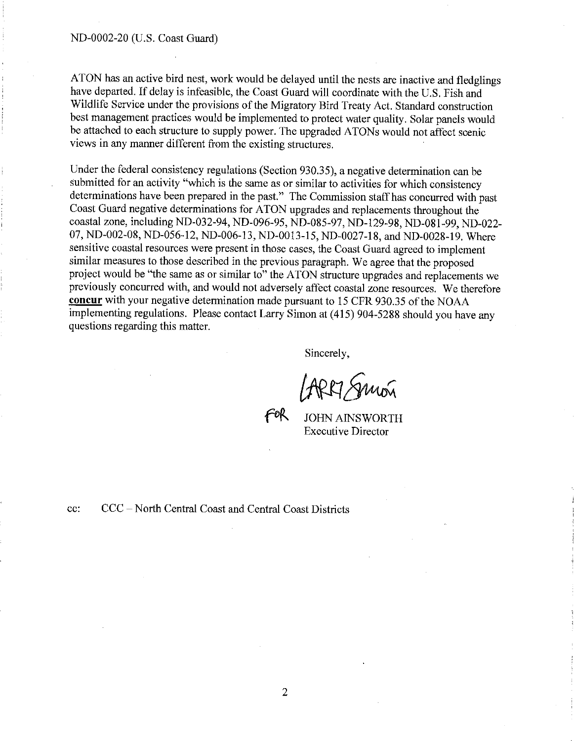#### ND-0002-20 (U.S. Coast Guard)

ATON has an active bird nest, work would be delayed until the nests are inactive and fledglings have departed. If delay is infeasible, the Coast Guard will coordinate with the U.S. Fish and Wildlife Service under the provisions of the Migratory Bird Treaty Act. Standard construction best management practices would be implemented to protect water quality. Solar panels would be attached to each structure to supply power. The upgraded ATONs would not affect scenic views in any manner different from the existing structures.

Under the federal consistency regulations (Section 930.35), a negative determination can be submitted for an activity "which is the same as or similar to activities for which consistency determinations have been prepared in the past." The Commission staff has concurred with past Coast Guard negative determinations for ATON upgrades and replacements throughout the coastal zone, including ND-032-94, ND-096-95, ND-085-97, ND-129-98, ND-081-99, ND-022-07, ND-002-08, ND-056-12, ND-006-13, ND-0013-15, ND-0027-18, and ND-0028-19. Where sensitive coastal resources were present in those cases, the Coast Guard agreed to implement similar measures to those described in the previous paragraph. We agree that the proposed project would be "the same as or similar to" the ATON structure upgrades and replacements we previously concurred with, and would not adversely affect coastal zone resources. We therefore concur with your negative determination made pursuant to 15 CFR 930.35 of the NOAA implementing regulations. Please contact Larry Simon at (415) 904-5288 should you have any questions regarding this matter.

Sincerely.

**JOHN AINSWORTH Executive Director** 

CCC - North Central Coast and Central Coast Districts cc: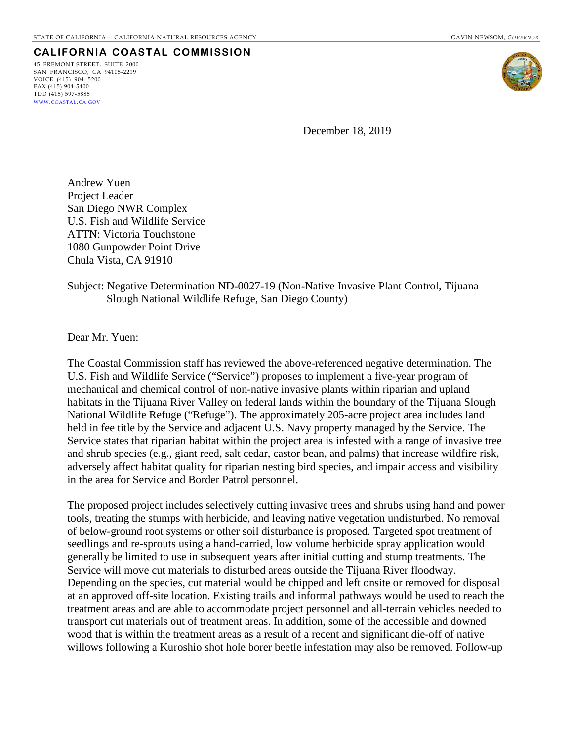#### **CALIFORNIA COASTAL COMMISSION**

45 FREMONT STREET, SUITE 2000 SAN FRANCISCO, CA 94105-2219 VOICE (415) 904- 5200  $FAX (415) 904 - 5400$ TDD (415) 597-5885 [WWW.COASTAL.CA.GOV](http://www.coastal.ca.gov/)



December 18, 2019

Andrew Yuen Project Leader San Diego NWR Complex U.S. Fish and Wildlife Service ATTN: Victoria Touchstone 1080 Gunpowder Point Drive Chula Vista, CA 91910

#### Subject: Negative Determination ND-0027-19 (Non-Native Invasive Plant Control, Tijuana Slough National Wildlife Refuge, San Diego County)

Dear Mr. Yuen:

The Coastal Commission staff has reviewed the above-referenced negative determination. The U.S. Fish and Wildlife Service ("Service") proposes to implement a five-year program of mechanical and chemical control of non-native invasive plants within riparian and upland habitats in the Tijuana River Valley on federal lands within the boundary of the Tijuana Slough National Wildlife Refuge ("Refuge"). The approximately 205-acre project area includes land held in fee title by the Service and adjacent U.S. Navy property managed by the Service. The Service states that riparian habitat within the project area is infested with a range of invasive tree and shrub species (e.g., giant reed, salt cedar, castor bean, and palms) that increase wildfire risk, adversely affect habitat quality for riparian nesting bird species, and impair access and visibility in the area for Service and Border Patrol personnel.

The proposed project includes selectively cutting invasive trees and shrubs using hand and power tools, treating the stumps with herbicide, and leaving native vegetation undisturbed. No removal of below-ground root systems or other soil disturbance is proposed. Targeted spot treatment of seedlings and re-sprouts using a hand-carried, low volume herbicide spray application would generally be limited to use in subsequent years after initial cutting and stump treatments. The Service will move cut materials to disturbed areas outside the Tijuana River floodway. Depending on the species, cut material would be chipped and left onsite or removed for disposal at an approved off-site location. Existing trails and informal pathways would be used to reach the treatment areas and are able to accommodate project personnel and all-terrain vehicles needed to transport cut materials out of treatment areas. In addition, some of the accessible and downed wood that is within the treatment areas as a result of a recent and significant die-off of native willows following a Kuroshio shot hole borer beetle infestation may also be removed. Follow-up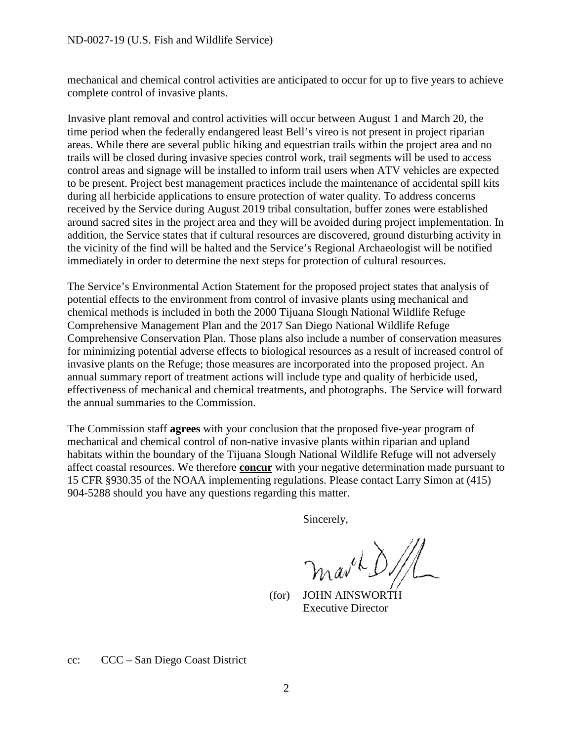mechanical and chemical control activities are anticipated to occur for up to five years to achieve complete control of invasive plants.

Invasive plant removal and control activities will occur between August 1 and March 20, the time period when the federally endangered least Bell's vireo is not present in project riparian areas. While there are several public hiking and equestrian trails within the project area and no trails will be closed during invasive species control work, trail segments will be used to access control areas and signage will be installed to inform trail users when ATV vehicles are expected to be present. Project best management practices include the maintenance of accidental spill kits during all herbicide applications to ensure protection of water quality. To address concerns received by the Service during August 2019 tribal consultation, buffer zones were established around sacred sites in the project area and they will be avoided during project implementation. In addition, the Service states that if cultural resources are discovered, ground disturbing activity in the vicinity of the find will be halted and the Service's Regional Archaeologist will be notified immediately in order to determine the next steps for protection of cultural resources.

The Service's Environmental Action Statement for the proposed project states that analysis of potential effects to the environment from control of invasive plants using mechanical and chemical methods is included in both the 2000 Tijuana Slough National Wildlife Refuge Comprehensive Management Plan and the 2017 San Diego National Wildlife Refuge Comprehensive Conservation Plan. Those plans also include a number of conservation measures for minimizing potential adverse effects to biological resources as a result of increased control of invasive plants on the Refuge; those measures are incorporated into the proposed project. An annual summary report of treatment actions will include type and quality of herbicide used, effectiveness of mechanical and chemical treatments, and photographs. The Service will forward the annual summaries to the Commission.

The Commission staff **agrees** with your conclusion that the proposed five-year program of mechanical and chemical control of non-native invasive plants within riparian and upland habitats within the boundary of the Tijuana Slough National Wildlife Refuge will not adversely affect coastal resources. We therefore **concur** with your negative determination made pursuant to 15 CFR §930.35 of the NOAA implementing regulations. Please contact Larry Simon at (415) 904-5288 should you have any questions regarding this matter.

Sincerely,

 $(a^{\mu k}\delta)$ 

 (for) JOHN AINSWORTH Executive Director

cc: CCC – San Diego Coast District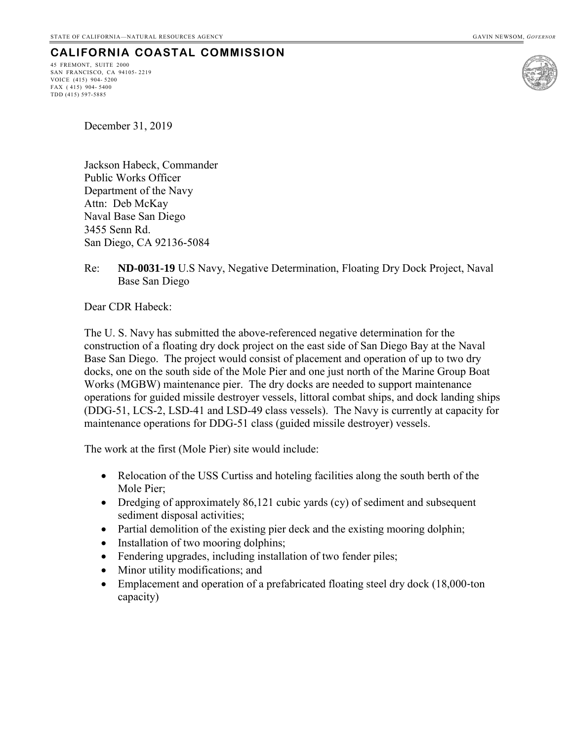## **CALIFORNIA COASTAL COMMISSION**

45 FREMONT, SUITE 2000 SAN FRANCISCO, CA 94105- 2219 VOICE (415) 904- 5200 FAX ( 415) 904- 5400 TDD (415) 597-5885



December 31, 2019

Jackson Habeck, Commander Public Works Officer Department of the Navy Attn: Deb McKay Naval Base San Diego 3455 Senn Rd. San Diego, CA 92136-5084

#### Re: **ND-0031-19** U.S Navy, Negative Determination, Floating Dry Dock Project, Naval Base San Diego

Dear CDR Habeck:

The U. S. Navy has submitted the above-referenced negative determination for the construction of a floating dry dock project on the east side of San Diego Bay at the Naval Base San Diego. The project would consist of placement and operation of up to two dry docks, one on the south side of the Mole Pier and one just north of the Marine Group Boat Works (MGBW) maintenance pier. The dry docks are needed to support maintenance operations for guided missile destroyer vessels, littoral combat ships, and dock landing ships (DDG-51, LCS-2, LSD-41 and LSD-49 class vessels). The Navy is currently at capacity for maintenance operations for DDG-51 class (guided missile destroyer) vessels.

The work at the first (Mole Pier) site would include:

- Relocation of the USS Curtiss and hoteling facilities along the south berth of the Mole Pier;
- Dredging of approximately 86,121 cubic yards (cy) of sediment and subsequent sediment disposal activities;
- Partial demolition of the existing pier deck and the existing mooring dolphin;
- Installation of two mooring dolphins;
- Fendering upgrades, including installation of two fender piles;
- Minor utility modifications; and
- Emplacement and operation of a prefabricated floating steel dry dock (18,000-ton capacity)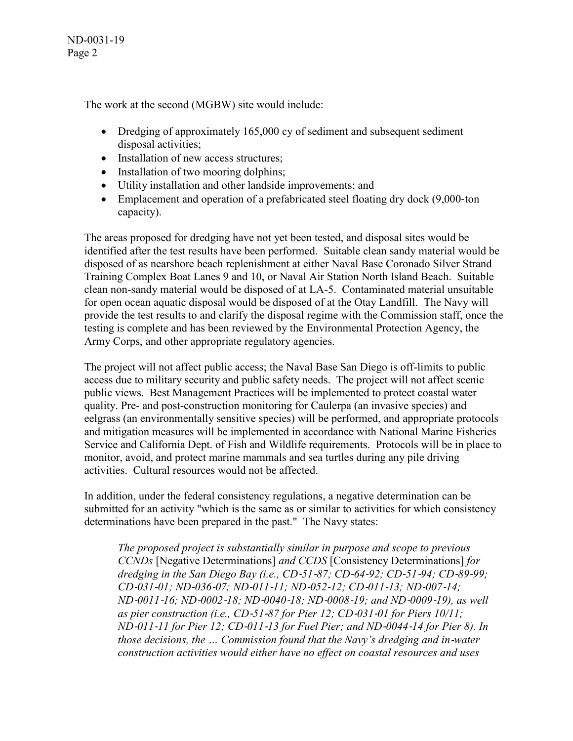ND-0031-19 Page 2

The work at the second (MGBW) site would include:

- Dredging of approximately 165,000 cy of sediment and subsequent sediment disposal activities;
- Installation of new access structures;
- Installation of two mooring dolphins;
- Utility installation and other landside improvements; and
- Emplacement and operation of a prefabricated steel floating dry dock (9,000-ton capacity).

The areas proposed for dredging have not yet been tested, and disposal sites would be identified after the test results have been performed. Suitable clean sandy material would be disposed of as nearshore beach replenishment at either Naval Base Coronado Silver Strand Training Complex Boat Lanes 9 and 10, or Naval Air Station North Island Beach. Suitable clean non-sandy material would be disposed of at LA-5. Contaminated material unsuitable for open ocean aquatic disposal would be disposed of at the Otay Landfill. The Navy will provide the test results to and clarify the disposal regime with the Commission staff, once the testing is complete and has been reviewed by the Environmental Protection Agency, the Army Corps, and other appropriate regulatory agencies.

The project will not affect public access; the Naval Base San Diego is off-limits to public access due to military security and public safety needs. The project will not affect scenic public views. Best Management Practices will be implemented to protect coastal water quality. Pre- and post-construction monitoring for Caulerpa (an invasive species) and eelgrass (an environmentally sensitive species) will be performed, and appropriate protocols and mitigation measures will be implemented in accordance with National Marine Fisheries Service and California Dept. of Fish and Wildlife requirements. Protocols will be in place to monitor, avoid, and protect marine mammals and sea turtles during any pile driving activities. Cultural resources would not be affected.

In addition, under the federal consistency regulations, a negative determination can be submitted for an activity "which is the same as or similar to activities for which consistency determinations have been prepared in the past." The Navy states:

*The proposed project is substantially similar in purpose and scope to previous CCNDs* [Negative Determinations] *and CCDS* [Consistency Determinations] *for dredging in the San Diego Bay (i.e., CD*‐*51*‐*87; CD*‐*64*‐*92; CD*‐*51*‐*94; CD*‐*89*‐*99; CD*‐*031*‐*01; ND*‐*036*‐*07; ND*‐*011*‐*11; ND*‐*052*‐*12; CD*‐*011*‐*13; ND*‐*007*‐*14; ND*‐*0011*‐*16; ND*‐*0002*‐*18; ND*‐*0040*‐*18; ND*‐*0008*‐*19; and ND*‐*0009*‐*19), as well as pier construction (i.e., CD*‐*51*‐*87 for Pier 12; CD*‐*031*‐*01 for Piers 10/11; ND*‐*011*‐*11 for Pier 12; CD*‐*011*‐*13 for Fuel Pier; and ND*‐*0044*‐*14 for Pier 8). In those decisions, the … Commission found that the Navy's dredging and in*‐*water construction activities would either have no effect on coastal resources and uses*